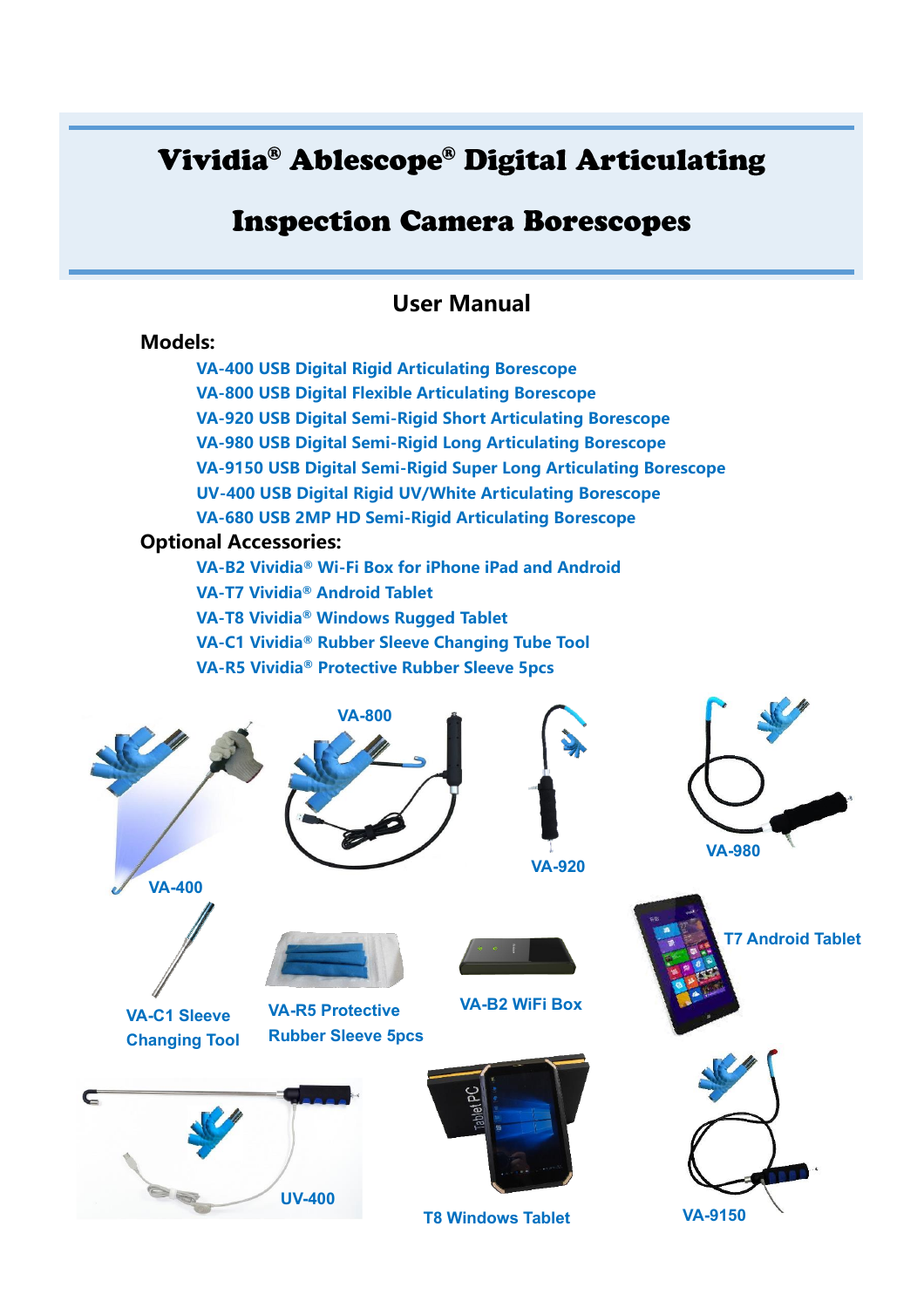# Vividia® Ablescope® Digital Articulating

# **Inspection Camera Borescopes**

# **User Manual**

# **Models:**

 $\epsilon$ 

**VA-400 USB Digital Rigid Articulating Borescope VA-800 USB Digital Flexible Articulating Borescope VA-920 USB Digital Semi-Rigid Short Articulating Borescope VA-980 USB Digital Semi-Rigid Long Articulating Borescope VA-9150 USB Digital Semi-Rigid Super Long Articulating Borescope UV-400 USB Digital Rigid UV/White Articulating Borescope VA-680 USB 2MP HD Semi-Rigid Articulating Borescope Optional Accessories: VA-B2 Vividia® Wi-Fi Box for iPhone iPad and Android VA-T7 Vividia® Android Tablet VA-T8 Vividia® Windows Rugged Tablet VA-C1 Vividia® Rubber Sleeve Changing Tube Tool VA-R5 Vividia® Protective Rubber Sleeve 5pcs VA-400 UV-400 VA-800 T7 Android Tablet VA-920 VA-980 VA-B2 WiFi Box VA-R5 Protective Rubber Sleeve 5pcs VA-C1 Sleeve Changing Tool**

**T8 Windows Tablet VA-9150**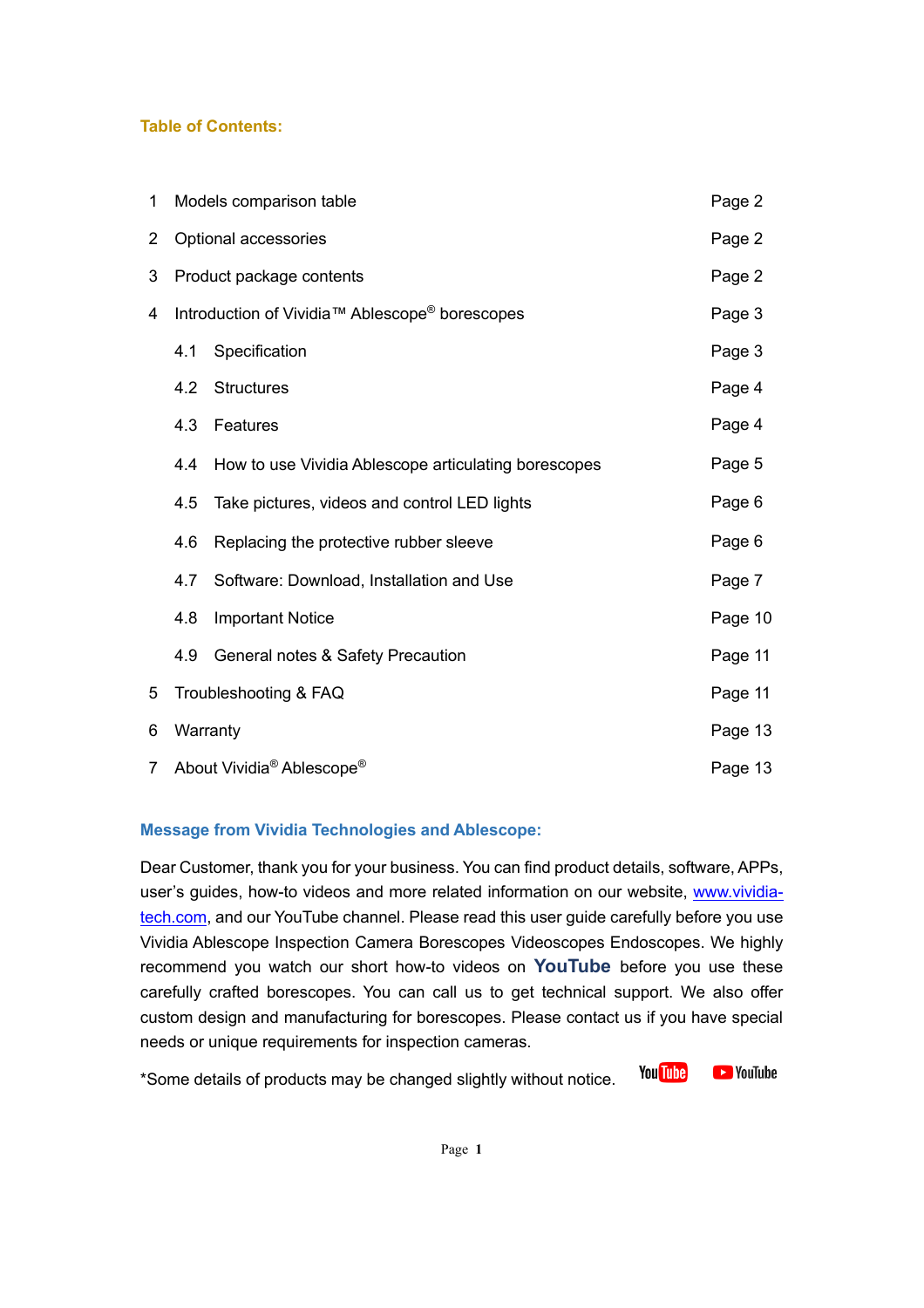# **Table of Contents:**

| 1              | Models comparison table                           |                                                      |         |
|----------------|---------------------------------------------------|------------------------------------------------------|---------|
| $\overline{2}$ |                                                   | Optional accessories                                 | Page 2  |
| 3              | Product package contents                          |                                                      |         |
| 4              | Introduction of Vividia™ Ablescope® borescopes    |                                                      |         |
|                | 4.1                                               | Specification                                        | Page 3  |
|                | 4.2                                               | <b>Structures</b>                                    | Page 4  |
|                | 4.3                                               | Features                                             | Page 4  |
|                | 4.4                                               | How to use Vividia Ablescope articulating borescopes | Page 5  |
|                | 4.5                                               | Take pictures, videos and control LED lights         | Page 6  |
|                | 4.6                                               | Replacing the protective rubber sleeve               | Page 6  |
|                | 4.7                                               | Software: Download, Installation and Use             | Page 7  |
|                | 4.8                                               | <b>Important Notice</b>                              | Page 10 |
|                | 4.9                                               | General notes & Safety Precaution                    | Page 11 |
| 5              | Troubleshooting & FAQ                             |                                                      | Page 11 |
| 6              | Warranty                                          |                                                      |         |
| $\overline{7}$ | About Vividia <sup>®</sup> Ablescope <sup>®</sup> |                                                      |         |

## **Message from Vividia Technologies and Ablescope:**

Dear Customer, thank you for your business. You can find product details, software, APPs, user's guides, how-to videos and more related information on our website, [www.vividia](http://www.vividia-tech.com/)[tech.com,](http://www.vividia-tech.com/) and our YouTube channel. Please read this user guide carefully before you use Vividia Ablescope Inspection Camera Borescopes Videoscopes Endoscopes. We highly recommend you watch our short how-to videos on **YouTube** before you use these carefully crafted borescopes. You can call us to get technical support. We also offer custom design and manufacturing for borescopes. Please contact us if you have special needs or unique requirements for inspection cameras.

**You Tube D**YouTube \*Some details of products may be changed slightly without notice.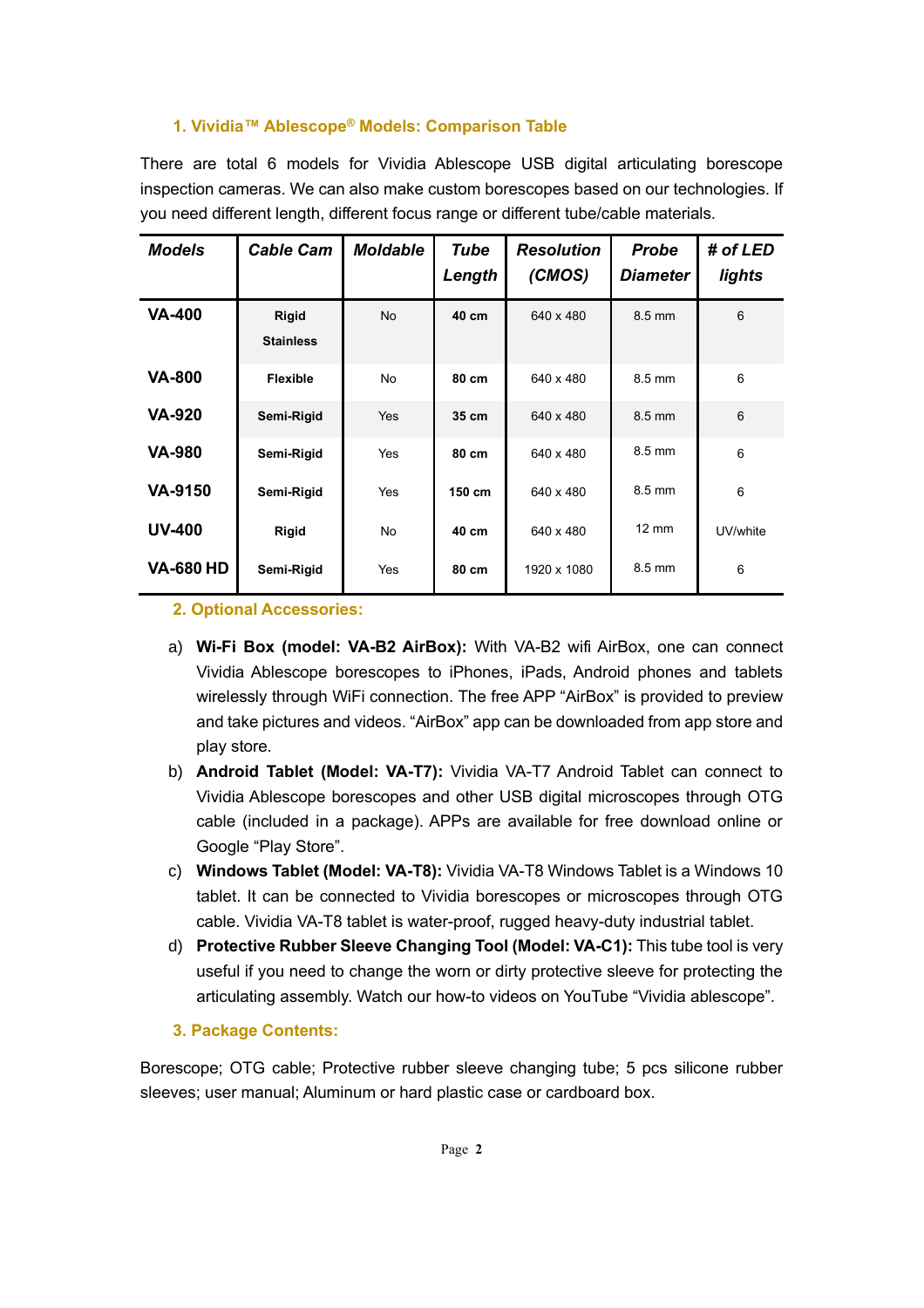## **1. Vividia™ Ablescope® Models: Comparison Table**

There are total 6 models for Vividia Ablescope USB digital articulating borescope inspection cameras. We can also make custom borescopes based on our technologies. If you need different length, different focus range or different tube/cable materials.

| <b>Models</b>    | <b>Cable Cam</b>          | <b>Moldable</b> | Tube<br>Length | <b>Resolution</b><br>(CMOS) | <b>Probe</b><br><b>Diameter</b> | # of LED<br>lights |
|------------------|---------------------------|-----------------|----------------|-----------------------------|---------------------------------|--------------------|
| <b>VA-400</b>    | Rigid<br><b>Stainless</b> | <b>No</b>       | 40 cm          | 640 x 480                   | 8.5 mm                          | 6                  |
| <b>VA-800</b>    | <b>Flexible</b>           | <b>No</b>       | 80 cm          | 640 x 480                   | $8.5 \text{ mm}$                | 6                  |
| <b>VA-920</b>    | Semi-Rigid                | Yes             | 35 cm          | 640 x 480                   | 8.5 mm                          | $6\phantom{1}$     |
| <b>VA-980</b>    | Semi-Rigid                | Yes             | 80 cm          | 640 x 480                   | 8.5 mm                          | 6                  |
| <b>VA-9150</b>   | Semi-Rigid                | Yes             | 150 cm         | 640 x 480                   | $8.5 \text{ mm}$                | 6                  |
| <b>UV-400</b>    | Rigid                     | No              | 40 cm          | 640 x 480                   | $12 \text{ mm}$                 | UV/white           |
| <b>VA-680 HD</b> | Semi-Rigid                | Yes             | 80 cm          | 1920 x 1080                 | 8.5 mm                          | 6                  |

#### **2. Optional Accessories:**

- a) **Wi-Fi Box (model: VA-B2 AirBox):** With VA-B2 wifi AirBox, one can connect Vividia Ablescope borescopes to iPhones, iPads, Android phones and tablets wirelessly through WiFi connection. The free APP "AirBox" is provided to preview and take pictures and videos. "AirBox" app can be downloaded from app store and play store.
- b) **Android Tablet (Model: VA-T7):** Vividia VA-T7 Android Tablet can connect to Vividia Ablescope borescopes and other USB digital microscopes through OTG cable (included in a package). APPs are available for free download online or Google "Play Store".
- c) **Windows Tablet (Model: VA-T8):** Vividia VA-T8 Windows Tablet is a Windows 10 tablet. It can be connected to Vividia borescopes or microscopes through OTG cable. Vividia VA-T8 tablet is water-proof, rugged heavy-duty industrial tablet.
- d) **Protective Rubber Sleeve Changing Tool (Model: VA-C1):** This tube tool is very useful if you need to change the worn or dirty protective sleeve for protecting the articulating assembly. Watch our how-to videos on YouTube "Vividia ablescope".

## **3. Package Contents:**

Borescope; OTG cable; Protective rubber sleeve changing tube; 5 pcs silicone rubber sleeves; user manual; Aluminum or hard plastic case or cardboard box.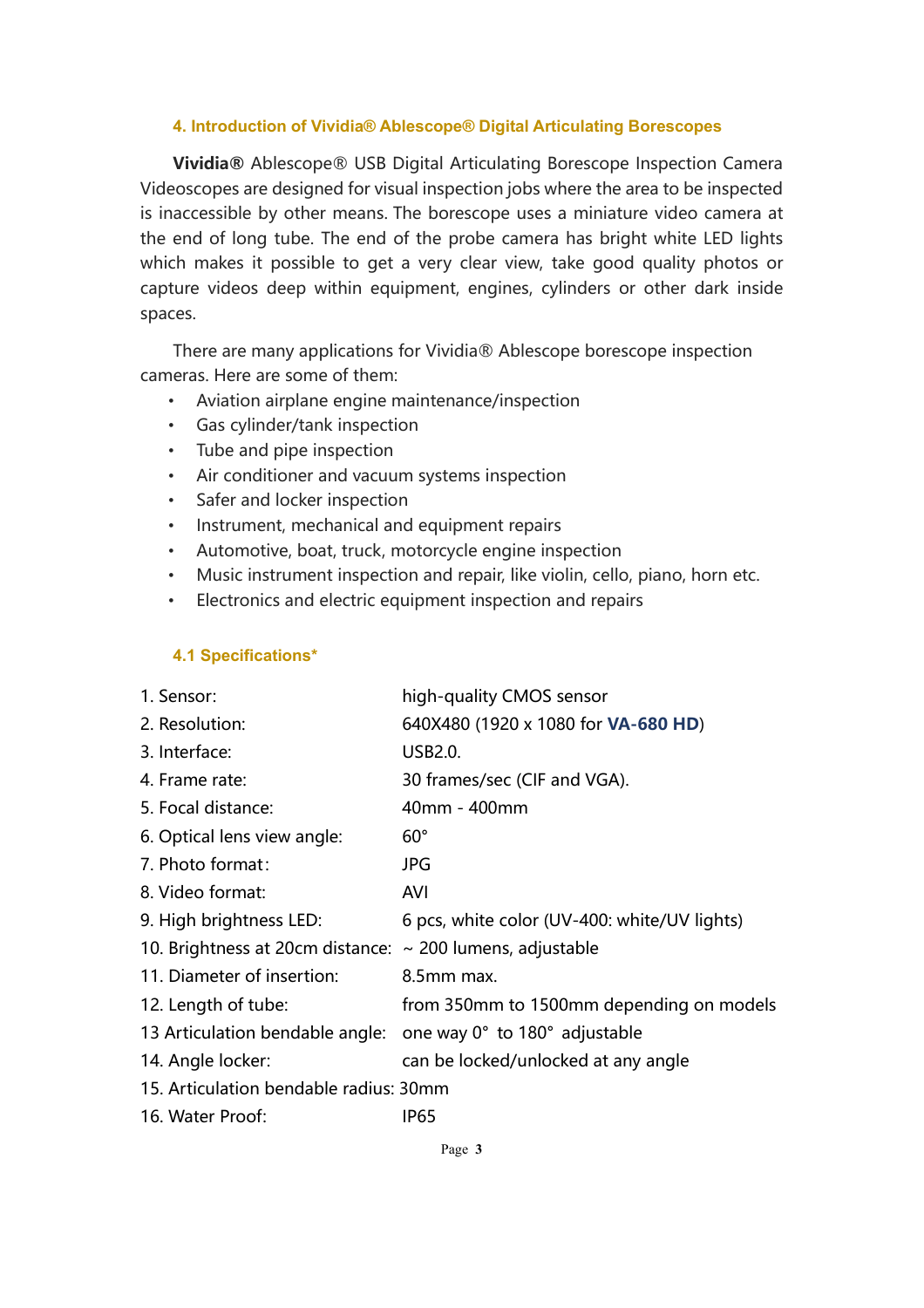#### **4. Introduction of Vividia® Ablescope® Digital Articulating Borescopes**

**Vividia®** Ablescope® USB Digital Articulating Borescope Inspection Camera Videoscopes are designed for visual inspection jobs where the area to be inspected is inaccessible by other means. The borescope uses a miniature video camera at the end of long tube. The end of the probe camera has bright white LED lights which makes it possible to get a very clear view, take good quality photos or capture videos deep within equipment, engines, cylinders or other dark inside spaces.

There are many applications for Vividia® Ablescope borescope inspection cameras. Here are some of them:

- Aviation airplane engine maintenance/inspection
- Gas cylinder/tank inspection
- Tube and pipe inspection
- Air conditioner and vacuum systems inspection
- Safer and locker inspection
- Instrument, mechanical and equipment repairs
- Automotive, boat, truck, motorcycle engine inspection
- Music instrument inspection and repair, like violin, cello, piano, horn etc.
- Electronics and electric equipment inspection and repairs

## **4.1 Specifications\***

| 1. Sensor:                                                     | high-quality CMOS sensor                     |
|----------------------------------------------------------------|----------------------------------------------|
| 2. Resolution:                                                 | 640X480 (1920 x 1080 for <b>VA-680 HD)</b>   |
| 3. Interface:                                                  | <b>USB2.0.</b>                               |
| 4. Frame rate:                                                 | 30 frames/sec (CIF and VGA).                 |
| 5. Focal distance:                                             | 40mm - 400mm                                 |
| 6. Optical lens view angle:                                    | $60^\circ$                                   |
| 7. Photo format:                                               | <b>JPG</b>                                   |
| 8. Video format:                                               | <b>AVI</b>                                   |
| 9. High brightness LED:                                        | 6 pcs, white color (UV-400: white/UV lights) |
| 10. Brightness at 20cm distance: $\sim$ 200 lumens, adjustable |                                              |
| 11. Diameter of insertion:                                     | 8.5mm max.                                   |
| 12. Length of tube:                                            | from 350mm to 1500mm depending on models     |
| 13 Articulation bendable angle:                                | one way 0° to 180° adjustable                |
| 14. Angle locker:                                              | can be locked/unlocked at any angle          |
| 15. Articulation bendable radius: 30mm                         |                                              |
| 16. Water Proof:                                               | <b>IP65</b>                                  |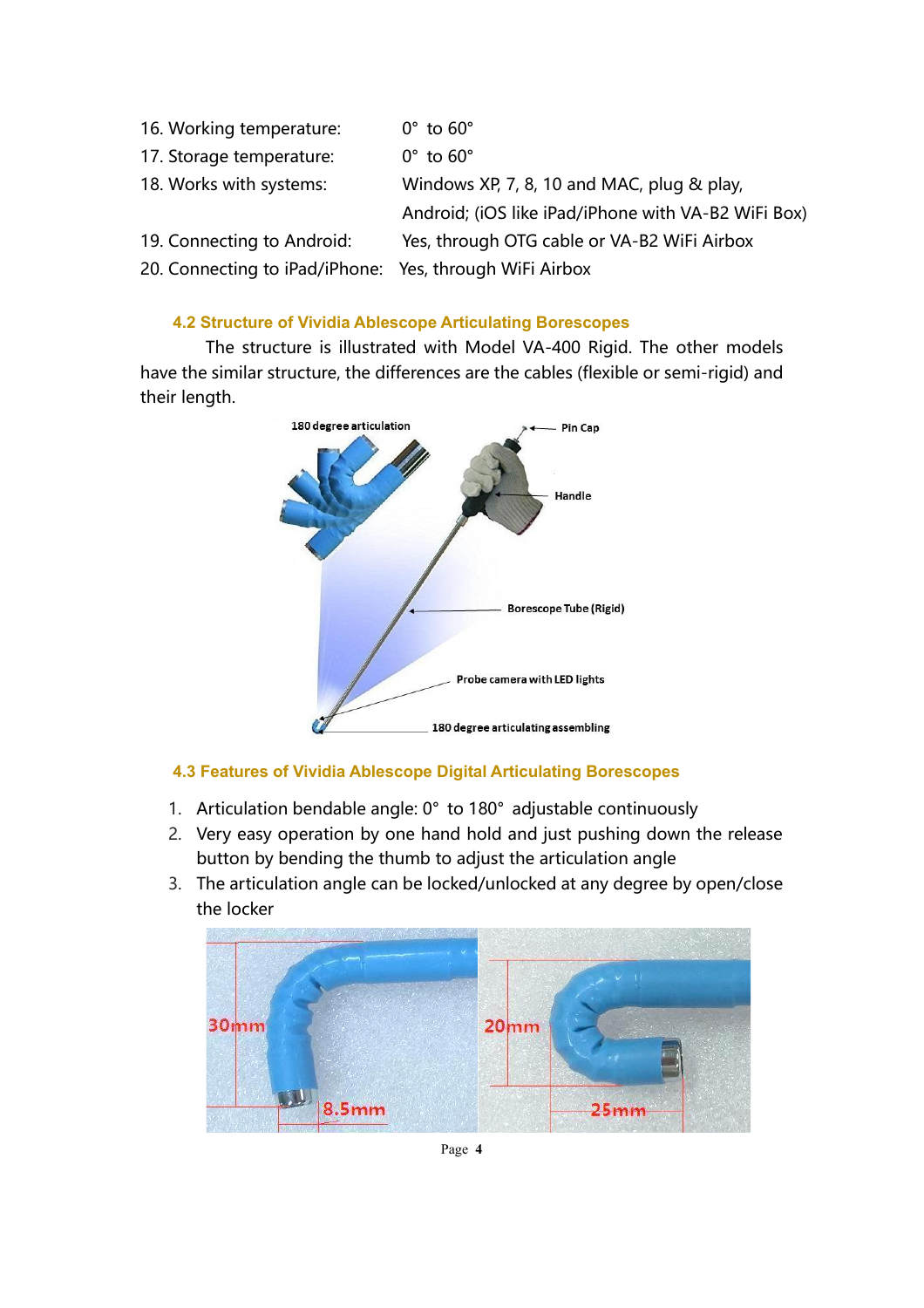16. Working temperature: 0° to 60° 17. Storage temperature: 0° to 60° 18. Works with systems: Windows XP, 7, 8, 10 and MAC, plug & play, Android; (iOS like iPad/iPhone with VA-B2 WiFi Box) 19. Connecting to Android: Yes, through OTG cable or VA-B2 WiFi Airbox 20. Connecting to iPad/iPhone: Yes, through WiFi Airbox

# **4.2 Structure of Vividia Ablescope Articulating Borescopes**

The structure is illustrated with Model VA-400 Rigid. The other models have the similar structure, the differences are the cables (flexible or semi-rigid) and their length.



# **4.3 Features of Vividia Ablescope Digital Articulating Borescopes**

- 1. Articulation bendable angle: 0° to 180° adjustable continuously
- 2. Very easy operation by one hand hold and just pushing down the release button by bending the thumb to adjust the articulation angle
- 3. The articulation angle can be locked/unlocked at any degree by open/close the locker



Page **4**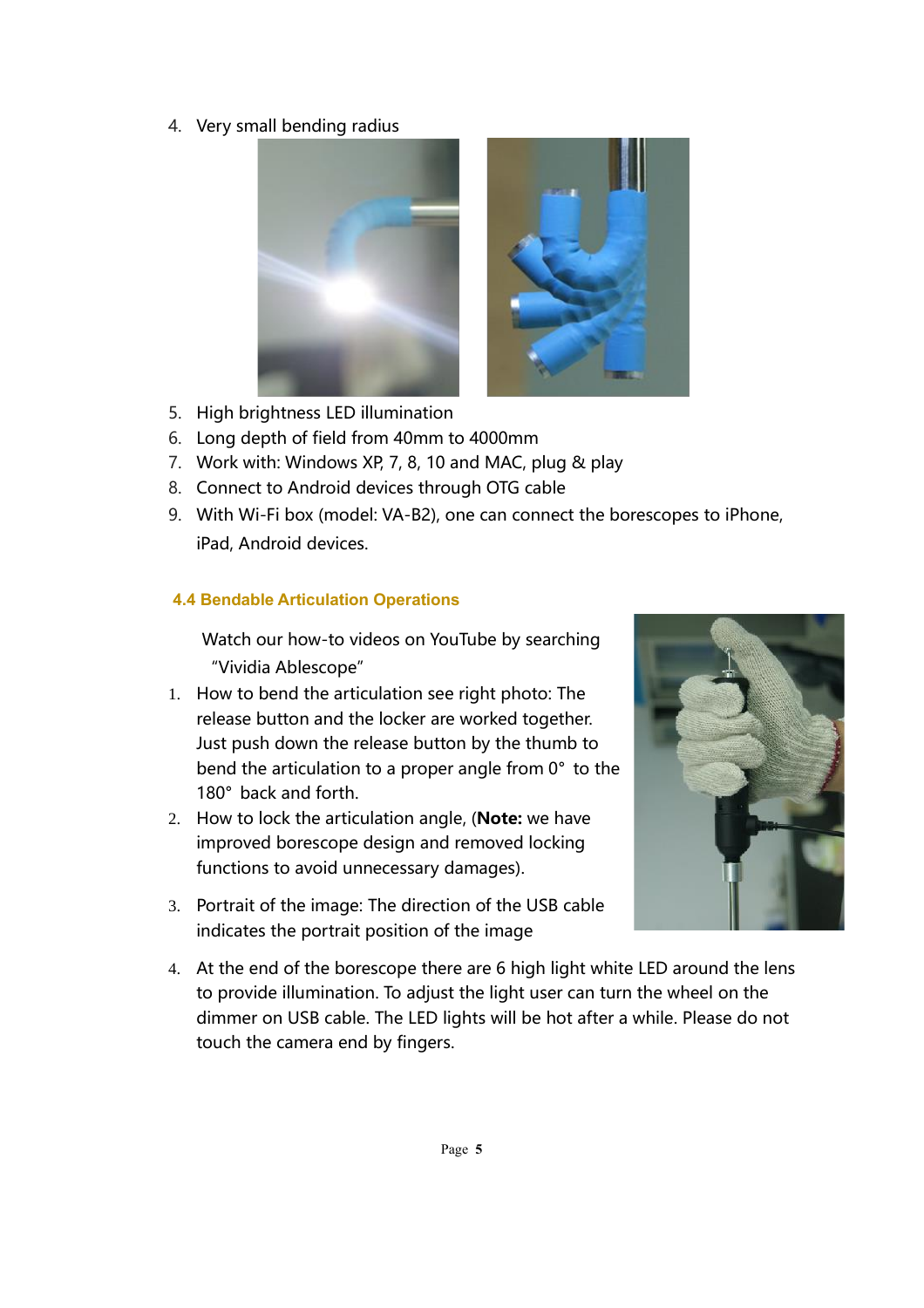4. Very small bending radius



- 5. High brightness LED illumination
- 6. Long depth of field from 40mm to 4000mm
- 7. Work with: Windows XP, 7, 8, 10 and MAC, plug & play
- 8. Connect to Android devices through OTG cable
- 9. With Wi-Fi box (model: VA-B2), one can connect the borescopes to iPhone, iPad, Android devices.

# **4.4 Bendable Articulation Operations**

Watch our how-to videos on YouTube by searching "Vividia Ablescope"

- 1. How to bend the articulation see right photo: The release button and the locker are worked together. Just push down the release button by the thumb to bend the articulation to a proper angle from 0° to the 180° back and forth.
- 2. How to lock the articulation angle, (**Note:** we have improved borescope design and removed locking functions to avoid unnecessary damages).
- 3. Portrait of the image: The direction of the USB cable indicates the portrait position of the image



4. At the end of the borescope there are 6 high light white LED around the lens to provide illumination. To adjust the light user can turn the wheel on the dimmer on USB cable. The LED lights will be hot after a while. Please do not touch the camera end by fingers.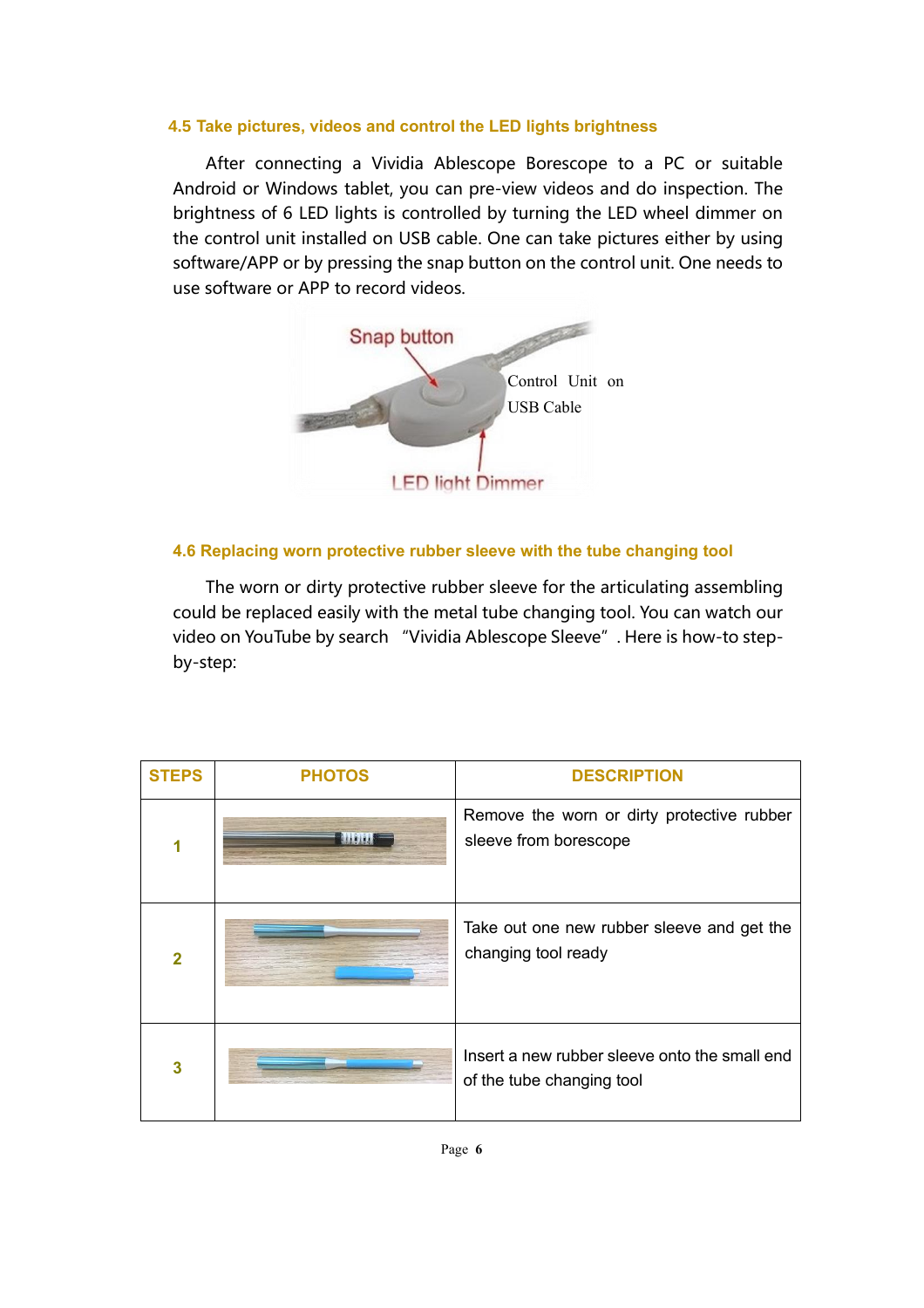#### **4.5 Take pictures, videos and control the LED lights brightness**

After connecting a Vividia Ablescope Borescope to a PC or suitable Android or Windows tablet, you can pre-view videos and do inspection. The brightness of 6 LED lights is controlled by turning the LED wheel dimmer on the control unit installed on USB cable. One can take pictures either by using software/APP or by pressing the snap button on the control unit. One needs to use software or APP to record videos.



## **4.6 Replacing worn protective rubber sleeve with the tube changing tool**

The worn or dirty protective rubber sleeve for the articulating assembling could be replaced easily with the metal tube changing tool. You can watch our video on YouTube by search "Vividia Ablescope Sleeve". Here is how-to stepby-step:

| <b>STEPS</b>   | <b>PHOTOS</b> | <b>DESCRIPTION</b>                                                         |
|----------------|---------------|----------------------------------------------------------------------------|
|                |               | Remove the worn or dirty protective rubber<br>sleeve from borescope        |
| $\overline{2}$ |               | Take out one new rubber sleeve and get the<br>changing tool ready          |
| 3              |               | Insert a new rubber sleeve onto the small end<br>of the tube changing tool |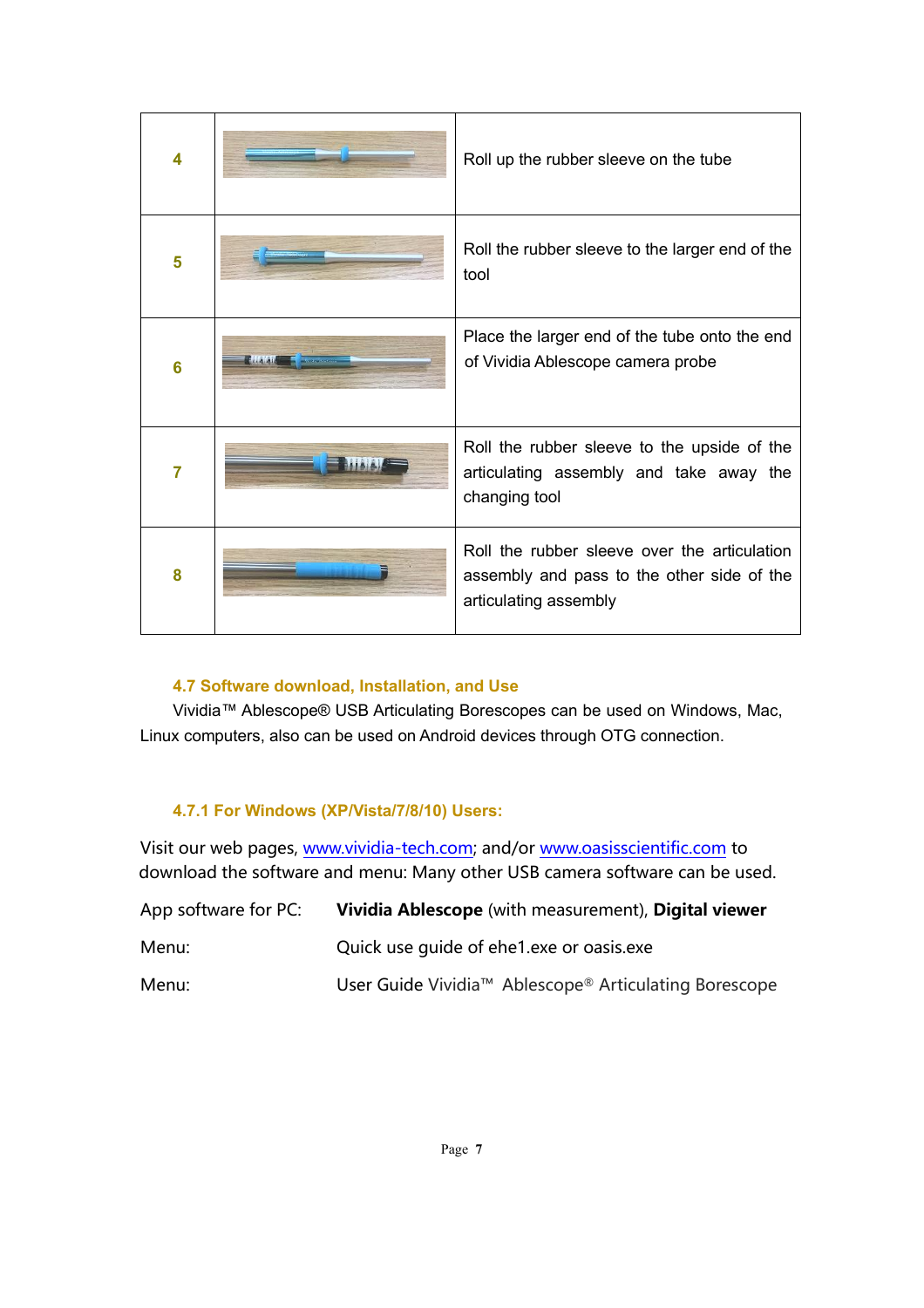| 4 | Roll up the rubber sleeve on the tube                                                                               |
|---|---------------------------------------------------------------------------------------------------------------------|
| 5 | Roll the rubber sleeve to the larger end of the<br>tool                                                             |
| 6 | Place the larger end of the tube onto the end<br>of Vividia Ablescope camera probe                                  |
| 7 | Roll the rubber sleeve to the upside of the<br>articulating assembly and take away the<br>changing tool             |
| 8 | Roll the rubber sleeve over the articulation<br>assembly and pass to the other side of the<br>articulating assembly |

## **4.7 Software download, Installation, and Use**

Vividia™ Ablescope® USB Articulating Borescopes can be used on Windows, Mac, Linux computers, also can be used on Android devices through OTG connection.

# **4.7.1 For Windows (XP/Vista/7/8/10) Users:**

Visit our web pages, [www.vividia-tech.com;](http://www.vividia-tech.com/) and/or [www.oasisscientific.com](http://www.oasisscientific.com/) to download the software and menu: Many other USB camera software can be used.

| App software for PC: | Vividia Ablescope (with measurement), Digital viewer  |
|----------------------|-------------------------------------------------------|
| Menu:                | Quick use quide of ehe1.exe or oasis.exe              |
| Menu:                | User Guide Vividia™ Ablescope® Articulating Borescope |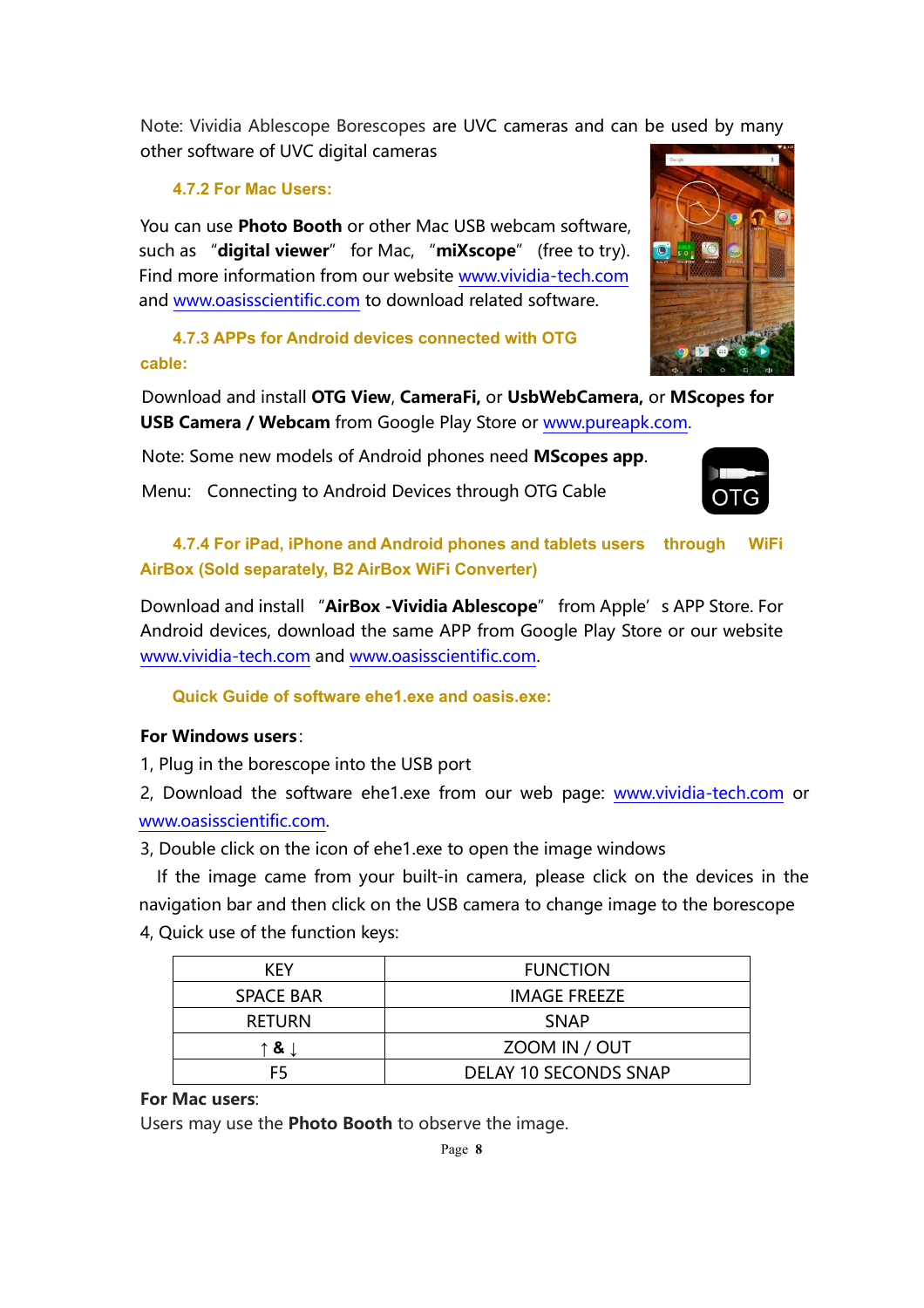Note: Vividia Ablescope Borescopes are UVC cameras and can be used by many other software of UVC digital cameras

# **4.7.2 For Mac Users:**

You can use **Photo Booth** or other Mac USB webcam software, such as "**digital viewer**" for Mac, "**miXscope**" (free to try). Find more information from our website [www.vividia-tech.com](http://www.vividia-tech.com/) and [www.oasisscientific.com](http://www.oasisscientific.com/) to download related software.

**4.7.3 APPs for Android devices connected with OTG cable:**

Download and install **OTG View**, **CameraFi,** or **UsbWebCamera,** or **MScopes for USB Camera / Webcam** from Google Play Store or [www.pureapk.com.](http://www.pureapk.com/)

Note: Some new models of Android phones need **MScopes app**.

Menu: Connecting to Android Devices through OTG Cable



# **4.7.4 For iPad, iPhone and Android phones and tablets users through WiFi AirBox (Sold separately, B2 AirBox WiFi Converter)**

Download and install "**AirBox -Vividia Ablescope**" from Apple's APP Store. For Android devices, download the same APP from Google Play Store or our website [www.vividia-tech.com](http://www.vividia-tech.com/) and [www.oasisscientific.com.](http://www.oasisscientific.com/)

**Quick Guide of software ehe1.exe and oasis.exe:** 

# **For Windows users**:

1, Plug in the borescope into the USB port

2, Download the software ehe1.exe from our web page: [www.vividia-tech.com](http://www.vividia-tech.com/) or [www.oasisscientific.com.](http://www.oasisscientific.com/)

3, Double click on the icon of ehe1.exe to open the image windows

 If the image came from your built-in camera, please click on the devices in the navigation bar and then click on the USB camera to change image to the borescope 4, Quick use of the function keys:

| <b>KFY</b>       | <b>FUNCTION</b>       |
|------------------|-----------------------|
| <b>SPACE BAR</b> | <b>IMAGE FREEZE</b>   |
| <b>RETURN</b>    | <b>SNAP</b>           |
| ↑&↓              | ZOOM IN / OUT         |
| F5               | DELAY 10 SECONDS SNAP |

## **For Mac users**:

Users may use the **Photo Booth** to observe the image.

Page **8**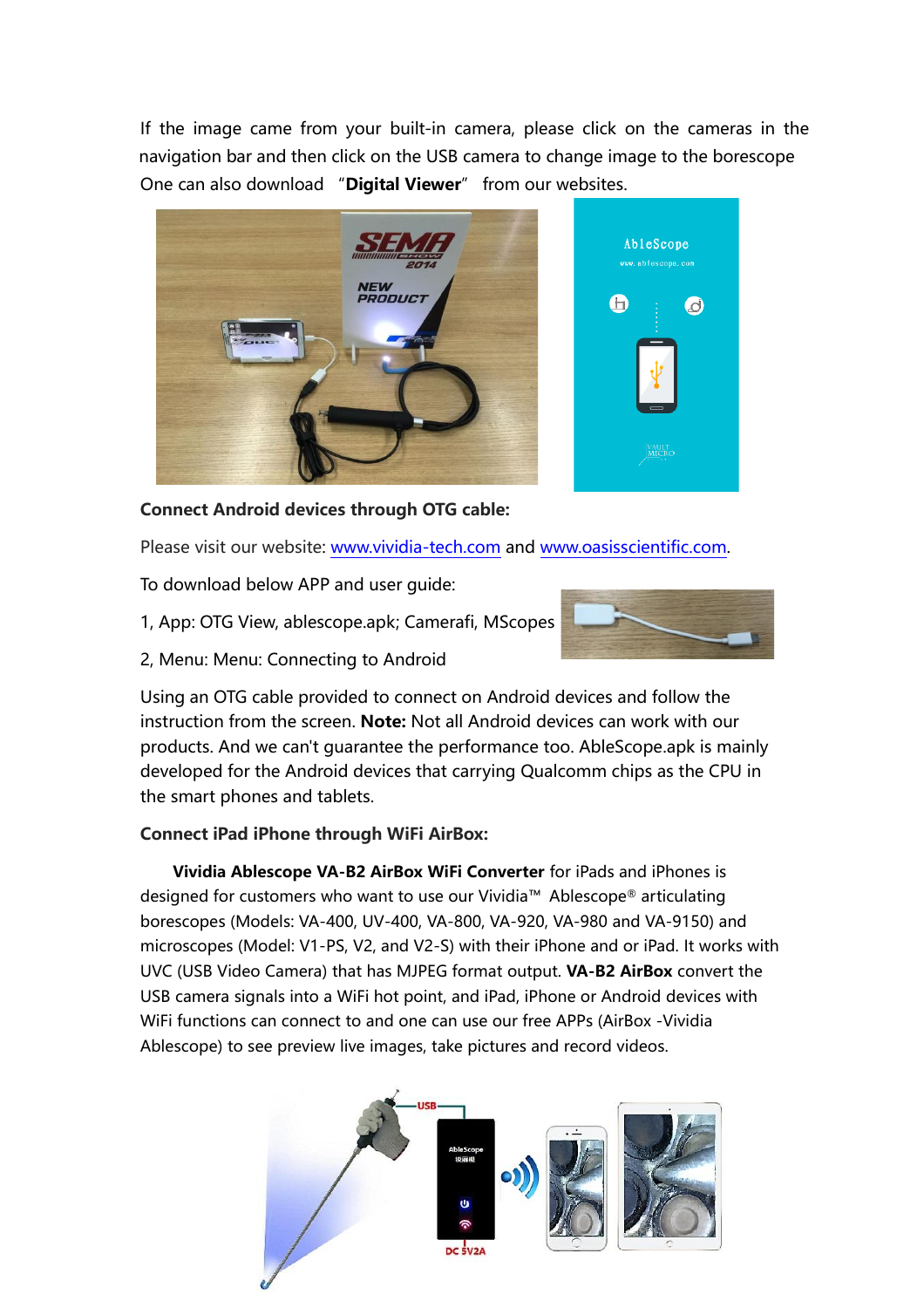If the image came from your built-in camera, please click on the cameras in the navigation bar and then click on the USB camera to change image to the borescope One can also download "**Digital Viewer**" from our websites.





**Connect Android devices through OTG cable:**

Please visit our website: [www.vividia-tech.com](http://www.vividia-tech.com/) and [www.oasisscientific.com.](http://www.oasisscientific.com/)

To download below APP and user guide:

- 1, App: OTG View, ablescope.apk; Camerafi, MScopes
- 2, Menu: Menu: Connecting to Android



Using an OTG cable provided to connect on Android devices and follow the instruction from the screen. **Note:** Not all Android devices can work with our products. And we can't guarantee the performance too. AbleScope.apk is mainly developed for the Android devices that carrying Qualcomm chips as the CPU in the smart phones and tablets.

# **Connect iPad iPhone through WiFi AirBox:**

**Vividia Ablescope VA-B2 AirBox WiFi Converter** for iPads and iPhones is designed for customers who want to use our Vividia™ Ablescope® articulating borescopes (Models: VA-400, UV-400, VA-800, VA-920, VA-980 and VA-9150) and microscopes (Model: V1-PS, V2, and V2-S) with their iPhone and or iPad. It works with UVC (USB Video Camera) that has MJPEG format output. **VA-B2 AirBox** convert the USB camera signals into a WiFi hot point, and iPad, iPhone or Android devices with WiFi functions can connect to and one can use our free APPs (AirBox -Vividia Ablescope) to see preview live images, take pictures and record videos.

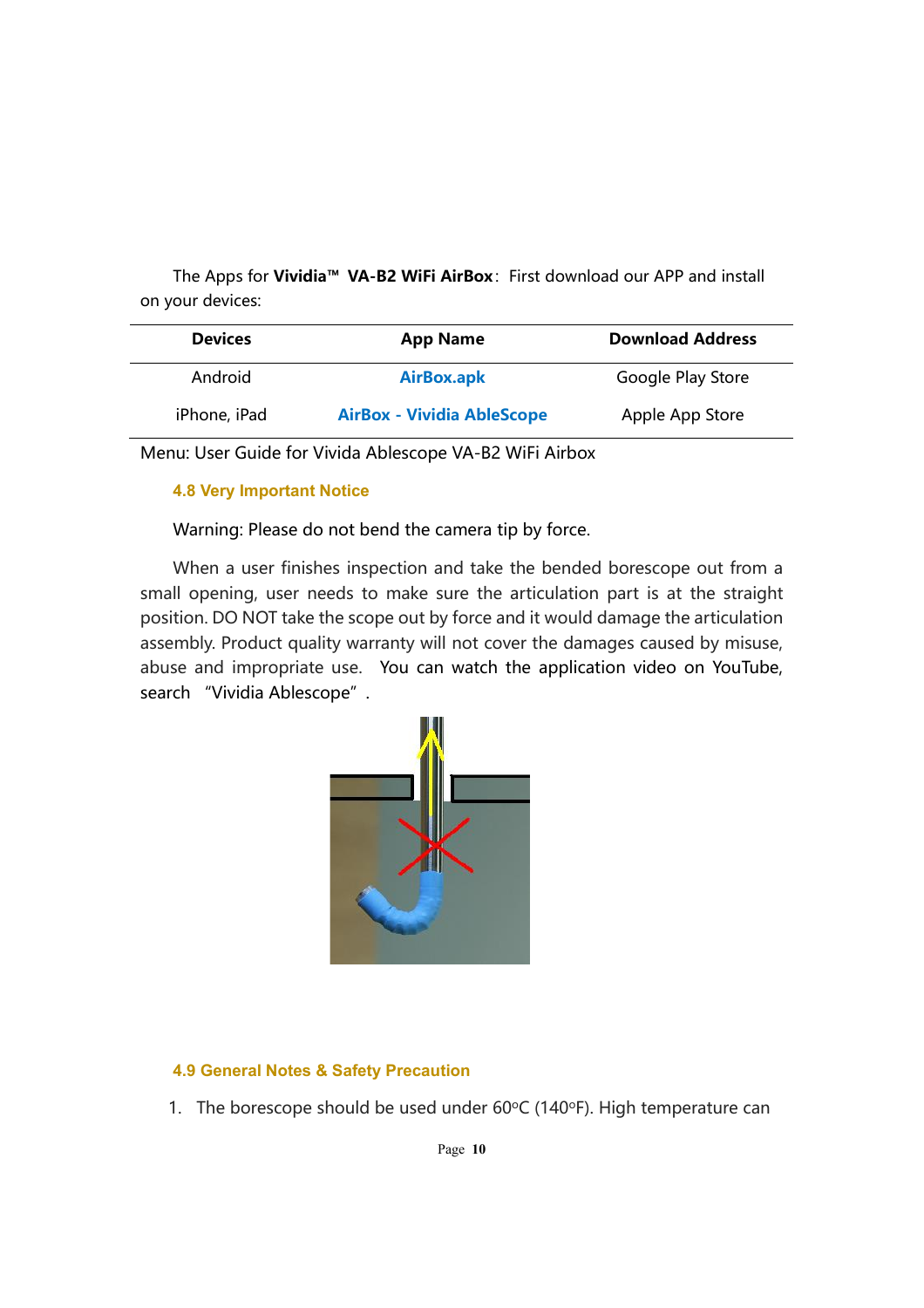The Apps for **Vividia™ VA-B2 WiFi AirBox**:First download our APP and install on your devices:

| <b>Devices</b> | <b>App Name</b>                   | <b>Download Address</b> |
|----------------|-----------------------------------|-------------------------|
| Android        | <b>AirBox.apk</b>                 | Google Play Store       |
| iPhone, iPad   | <b>AirBox - Vividia AbleScope</b> | Apple App Store         |

Menu: User Guide for Vivida Ablescope VA-B2 WiFi Airbox

## **4.8 Very Important Notice**

Warning: Please do not bend the camera tip by force.

When a user finishes inspection and take the bended borescope out from a small opening, user needs to make sure the articulation part is at the straight position. DO NOT take the scope out by force and it would damage the articulation assembly. Product quality warranty will not cover the damages caused by misuse, abuse and impropriate use. You can watch the application video on YouTube, search "Vividia Ablescope".



## **4.9 General Notes & Safety Precaution**

1. The borescope should be used under  $60^{\circ}$ C (140 $^{\circ}$ F). High temperature can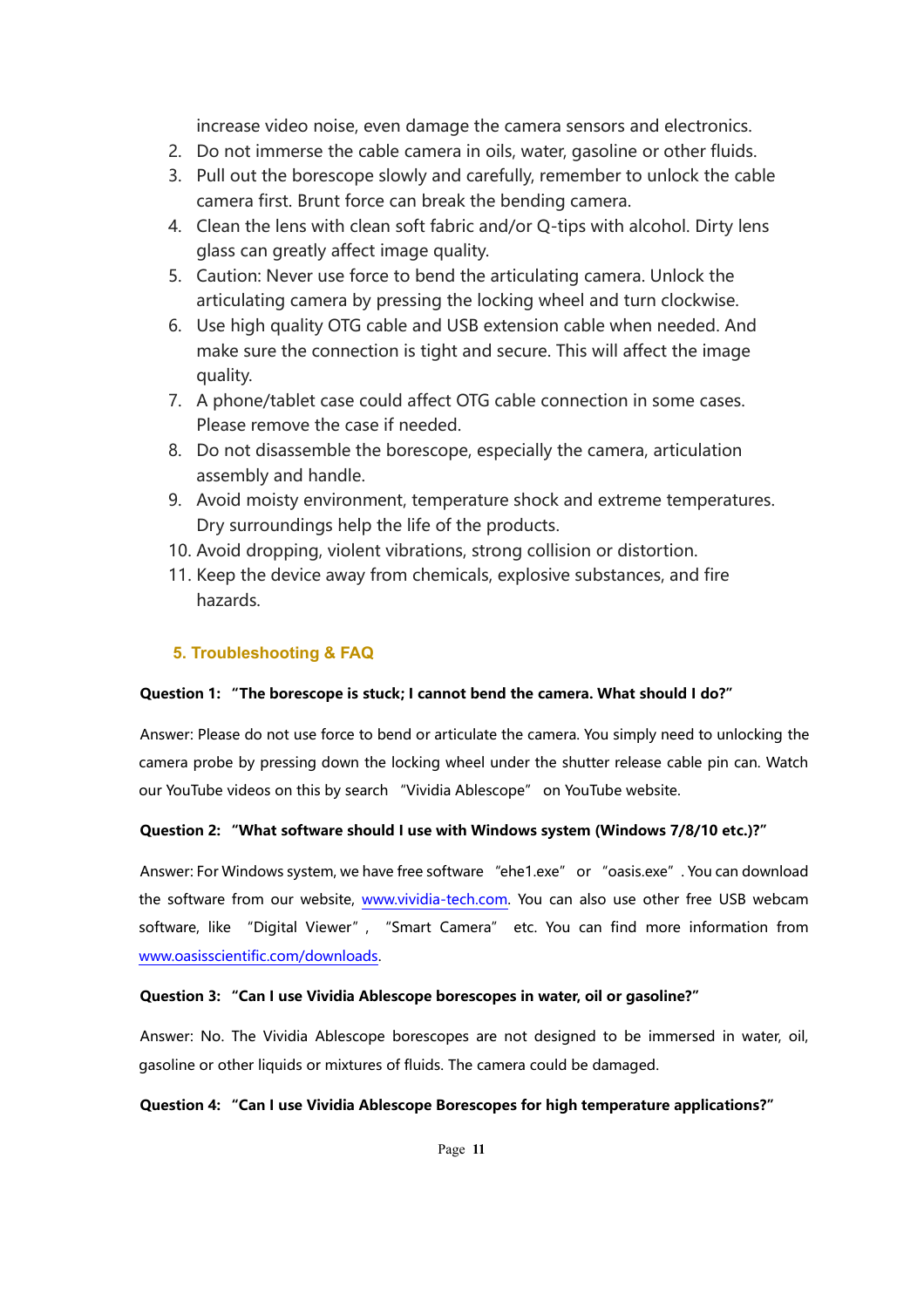increase video noise, even damage the camera sensors and electronics.

- 2. Do not immerse the cable camera in oils, water, gasoline or other fluids.
- 3. Pull out the borescope slowly and carefully, remember to unlock the cable camera first. Brunt force can break the bending camera.
- 4. Clean the lens with clean soft fabric and/or Q-tips with alcohol. Dirty lens glass can greatly affect image quality.
- 5. Caution: Never use force to bend the articulating camera. Unlock the articulating camera by pressing the locking wheel and turn clockwise.
- 6. Use high quality OTG cable and USB extension cable when needed. And make sure the connection is tight and secure. This will affect the image quality.
- 7. A phone/tablet case could affect OTG cable connection in some cases. Please remove the case if needed.
- 8. Do not disassemble the borescope, especially the camera, articulation assembly and handle.
- 9. Avoid moisty environment, temperature shock and extreme temperatures. Dry surroundings help the life of the products.
- 10. Avoid dropping, violent vibrations, strong collision or distortion.
- 11. Keep the device away from chemicals, explosive substances, and fire hazards.

## **5. Troubleshooting & FAQ**

#### **Question 1: "The borescope is stuck; I cannot bend the camera. What should I do?"**

Answer: Please do not use force to bend or articulate the camera. You simply need to unlocking the camera probe by pressing down the locking wheel under the shutter release cable pin can. Watch our YouTube videos on this by search "Vividia Ablescope" on YouTube website.

## **Question 2: "What software should I use with Windows system (Windows 7/8/10 etc.)?"**

Answer: For Windows system, we have free software "ehe1.exe" or "oasis.exe". You can download the software from our website, [www.vividia-tech.com.](http://www.vividia-tech.com/) You can also use other free USB webcam software, like "Digital Viewer", "Smart Camera" etc. You can find more information from [www.oasisscientific.com/downloads.](http://www.oasisscientific.com/downloads)

#### **Question 3: "Can I use Vividia Ablescope borescopes in water, oil or gasoline?"**

Answer: No. The Vividia Ablescope borescopes are not designed to be immersed in water, oil, gasoline or other liquids or mixtures of fluids. The camera could be damaged.

#### **Question 4: "Can I use Vividia Ablescope Borescopes for high temperature applications?"**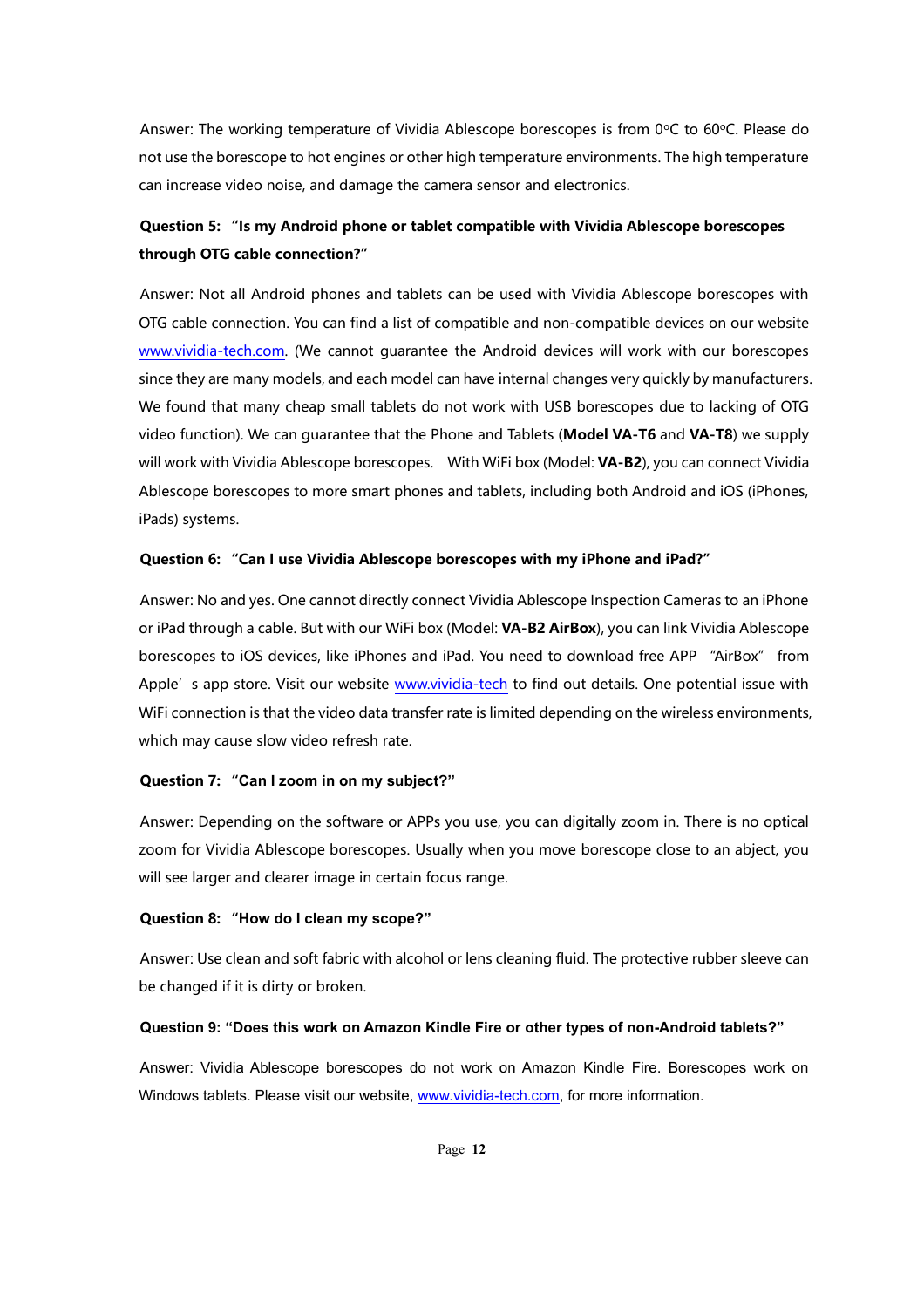Answer: The working temperature of Vividia Ablescope borescopes is from 0°C to 60°C. Please do not use the borescope to hot engines or other high temperature environments. The high temperature can increase video noise, and damage the camera sensor and electronics.

# **Question 5: "Is my Android phone or tablet compatible with Vividia Ablescope borescopes through OTG cable connection?"**

Answer: Not all Android phones and tablets can be used with Vividia Ablescope borescopes with OTG cable connection. You can find a list of compatible and non-compatible devices on our website [www.vividia-tech.com.](http://www.vividia-tech.com/) (We cannot guarantee the Android devices will work with our borescopes since they are many models, and each model can have internal changes very quickly by manufacturers. We found that many cheap small tablets do not work with USB borescopes due to lacking of OTG video function). We can guarantee that the Phone and Tablets (**Model VA-T6** and **VA-T8**) we supply will work with Vividia Ablescope borescopes. With WiFi box (Model: **VA-B2**), you can connect Vividia Ablescope borescopes to more smart phones and tablets, including both Android and iOS (iPhones, iPads) systems.

#### **Question 6: "Can I use Vividia Ablescope borescopes with my iPhone and iPad?"**

Answer: No and yes. One cannot directly connect Vividia Ablescope Inspection Cameras to an iPhone or iPad through a cable. But with our WiFi box (Model: **VA-B2 AirBox**), you can link Vividia Ablescope borescopes to iOS devices, like iPhones and iPad. You need to download free APP "AirBox" from Apple's app store. Visit our website [www.vividia-tech](http://www.vividia-tech/) to find out details. One potential issue with WiFi connection is that the video data transfer rate is limited depending on the wireless environments, which may cause slow video refresh rate.

#### **Question 7: "Can I zoom in on my subject?"**

Answer: Depending on the software or APPs you use, you can digitally zoom in. There is no optical zoom for Vividia Ablescope borescopes. Usually when you move borescope close to an abject, you will see larger and clearer image in certain focus range.

#### **Question 8: "How do I clean my scope?"**

Answer: Use clean and soft fabric with alcohol or lens cleaning fluid. The protective rubber sleeve can be changed if it is dirty or broken.

#### **Question 9: "Does this work on Amazon Kindle Fire or other types of non-Android tablets?"**

Answer: Vividia Ablescope borescopes do not work on Amazon Kindle Fire. Borescopes work on Windows tablets. Please visit our website, [www.vividia-tech.com,](http://www.vividia-tech.com/) for more information.